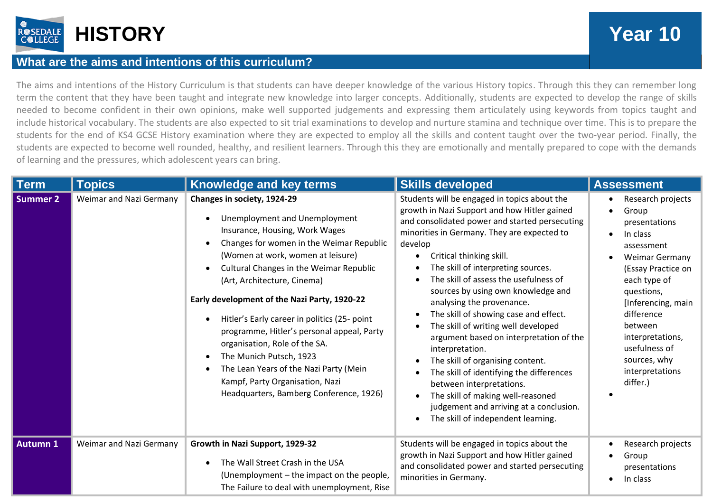

# **What are the aims and intentions of this curriculum?**

The aims and intentions of the History Curriculum is that students can have deeper knowledge of the various History topics. Through this they can remember long term the content that they have been taught and integrate new knowledge into larger concepts. Additionally, students are expected to develop the range of skills needed to become confident in their own opinions, make well supported judgements and expressing them articulately using keywords from topics taught and include historical vocabulary. The students are also expected to sit trial examinations to develop and nurture stamina and technique over time. This is to prepare the students for the end of KS4 GCSE History examination where they are expected to employ all the skills and content taught over the two-year period. Finally, the students are expected to become well rounded, healthy, and resilient learners. Through this they are emotionally and mentally prepared to cope with the demands of learning and the pressures, which adolescent years can bring.

| <b>Term</b>     | <b>Topics</b>                  | <b>Knowledge and key terms</b>                                                                                                                                                                                                                                                                                                                                                                                                                                                                                                                                                              | <b>Skills developed</b>                                                                                                                                                                                                                                                                                                                                                                                                                                                                                                                                                                                                                                                                                                                                                | <b>Assessment</b>                                                                                                                                                                                                                                                                                               |
|-----------------|--------------------------------|---------------------------------------------------------------------------------------------------------------------------------------------------------------------------------------------------------------------------------------------------------------------------------------------------------------------------------------------------------------------------------------------------------------------------------------------------------------------------------------------------------------------------------------------------------------------------------------------|------------------------------------------------------------------------------------------------------------------------------------------------------------------------------------------------------------------------------------------------------------------------------------------------------------------------------------------------------------------------------------------------------------------------------------------------------------------------------------------------------------------------------------------------------------------------------------------------------------------------------------------------------------------------------------------------------------------------------------------------------------------------|-----------------------------------------------------------------------------------------------------------------------------------------------------------------------------------------------------------------------------------------------------------------------------------------------------------------|
| Summer 2        | <b>Weimar and Nazi Germany</b> | Changes in society, 1924-29<br>Unemployment and Unemployment<br>Insurance, Housing, Work Wages<br>Changes for women in the Weimar Republic<br>(Women at work, women at leisure)<br>Cultural Changes in the Weimar Republic<br>(Art, Architecture, Cinema)<br>Early development of the Nazi Party, 1920-22<br>Hitler's Early career in politics (25- point<br>programme, Hitler's personal appeal, Party<br>organisation, Role of the SA.<br>The Munich Putsch, 1923<br>The Lean Years of the Nazi Party (Mein<br>Kampf, Party Organisation, Nazi<br>Headquarters, Bamberg Conference, 1926) | Students will be engaged in topics about the<br>growth in Nazi Support and how Hitler gained<br>and consolidated power and started persecuting<br>minorities in Germany. They are expected to<br>develop<br>Critical thinking skill.<br>The skill of interpreting sources.<br>The skill of assess the usefulness of<br>sources by using own knowledge and<br>analysing the provenance.<br>The skill of showing case and effect.<br>The skill of writing well developed<br>argument based on interpretation of the<br>interpretation.<br>The skill of organising content.<br>The skill of identifying the differences<br>between interpretations.<br>The skill of making well-reasoned<br>judgement and arriving at a conclusion.<br>The skill of independent learning. | Research projects<br>Group<br>$\bullet$<br>presentations<br>In class<br>$\bullet$<br>assessment<br><b>Weimar Germany</b><br>(Essay Practice on<br>each type of<br>questions,<br>[Inferencing, main<br>difference<br>between<br>interpretations,<br>usefulness of<br>sources, why<br>interpretations<br>differ.) |
| <b>Autumn 1</b> | <b>Weimar and Nazi Germany</b> | Growth in Nazi Support, 1929-32<br>The Wall Street Crash in the USA<br>(Unemployment – the impact on the people,<br>The Failure to deal with unemployment, Rise                                                                                                                                                                                                                                                                                                                                                                                                                             | Students will be engaged in topics about the<br>growth in Nazi Support and how Hitler gained<br>and consolidated power and started persecuting<br>minorities in Germany.                                                                                                                                                                                                                                                                                                                                                                                                                                                                                                                                                                                               | Research projects<br>$\bullet$<br>Group<br>$\bullet$<br>presentations<br>In class                                                                                                                                                                                                                               |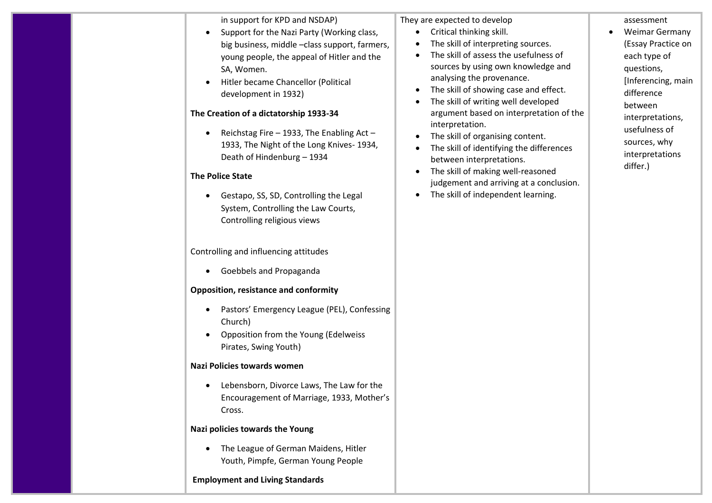in support for KPD and NSDAP)

- Support for the Nazi Party (Working class, big business, middle –class support, farmers, young people, the appeal of Hitler and the SA, Women.
- Hitler became Chancellor (Political development in 1932)

# **The Creation of a dictatorship 1933-34**

• Reichstag Fire – 1933, The Enabling Act – 1933, The Night of the Long Knives- 1934, Death of Hindenburg – 1934

# **The Police State**

• Gestapo, SS, SD, Controlling the Legal System, Controlling the Law Courts, Controlling religious views

Controlling and influencing attitudes

• Goebbels and Propaganda

# **Opposition, resistance and conformity**

- Pastors' Emergency League (PEL), Confessing Church)
- Opposition from the Young (Edelweiss Pirates, Swing Youth)

# **Nazi Policies towards women**

• Lebensborn, Divorce Laws, The Law for the Encouragement of Marriage, 1933, Mother's Cross.

#### **Nazi policies towards the Young**

• The League of German Maidens, Hitler Youth, Pimpfe, German Young People

# **Employment and Living Standards**

They are expected to develop

- Critical thinking skill.
- The skill of interpreting sources.
- The skill of assess the usefulness of sources by using own knowledge and analysing the provenance.
- The skill of showing case and effect.
- The skill of writing well developed argument based on interpretation of the interpretation.
- The skill of organising content.
- The skill of identifying the differences between interpretations.
- The skill of making well-reasoned judgement and arriving at a conclusion.
- The skill of independent learning.

assessment • Weimar Germany (Essay Practice on each type of questions, [Inferencing, main difference between

interpretations, usefulness of sources, why interpretations

differ.)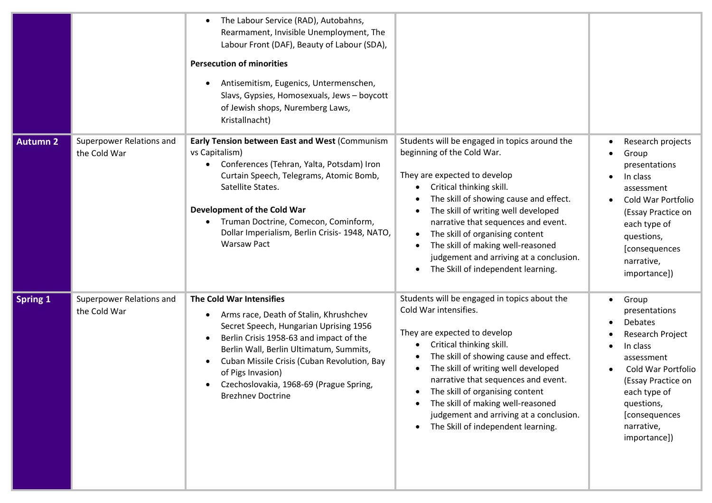|                 |                                          | The Labour Service (RAD), Autobahns,<br>$\bullet$<br>Rearmament, Invisible Unemployment, The<br>Labour Front (DAF), Beauty of Labour (SDA),<br><b>Persecution of minorities</b><br>Antisemitism, Eugenics, Untermenschen,<br>Slavs, Gypsies, Homosexuals, Jews - boycott<br>of Jewish shops, Nuremberg Laws,<br>Kristallnacht)                     |                                                                                                                                                                                                                                                                                                                                                                                                                                       |                                                                                                                                                                                                                              |
|-----------------|------------------------------------------|----------------------------------------------------------------------------------------------------------------------------------------------------------------------------------------------------------------------------------------------------------------------------------------------------------------------------------------------------|---------------------------------------------------------------------------------------------------------------------------------------------------------------------------------------------------------------------------------------------------------------------------------------------------------------------------------------------------------------------------------------------------------------------------------------|------------------------------------------------------------------------------------------------------------------------------------------------------------------------------------------------------------------------------|
| <b>Autumn 2</b> | Superpower Relations and<br>the Cold War | Early Tension between East and West (Communism<br>vs Capitalism)<br>Conferences (Tehran, Yalta, Potsdam) Iron<br>Curtain Speech, Telegrams, Atomic Bomb,<br>Satellite States.<br>Development of the Cold War<br>Truman Doctrine, Comecon, Cominform,<br>Dollar Imperialism, Berlin Crisis- 1948, NATO,<br><b>Warsaw Pact</b>                       | Students will be engaged in topics around the<br>beginning of the Cold War.<br>They are expected to develop<br>Critical thinking skill.<br>The skill of showing cause and effect.<br>The skill of writing well developed<br>narrative that sequences and event.<br>The skill of organising content<br>$\bullet$<br>The skill of making well-reasoned<br>judgement and arriving at a conclusion.<br>The Skill of independent learning. | Research projects<br>Group<br>presentations<br>In class<br>assessment<br>Cold War Portfolio<br>(Essay Practice on<br>each type of<br>questions,<br>[consequences<br>narrative,<br>importance])                               |
| <b>Spring 1</b> | Superpower Relations and<br>the Cold War | The Cold War Intensifies<br>Arms race, Death of Stalin, Khrushchev<br>٠<br>Secret Speech, Hungarian Uprising 1956<br>Berlin Crisis 1958-63 and impact of the<br>Berlin Wall, Berlin Ultimatum, Summits,<br>Cuban Missile Crisis (Cuban Revolution, Bay<br>of Pigs Invasion)<br>Czechoslovakia, 1968-69 (Prague Spring,<br><b>Brezhnev Doctrine</b> | Students will be engaged in topics about the<br>Cold War intensifies.<br>They are expected to develop<br>Critical thinking skill.<br>The skill of showing cause and effect.<br>The skill of writing well developed<br>narrative that sequences and event.<br>The skill of organising content<br>The skill of making well-reasoned<br>judgement and arriving at a conclusion.<br>The Skill of independent learning.<br>$\bullet$       | Group<br>$\bullet$<br>presentations<br><b>Debates</b><br>Research Project<br>In class<br>assessment<br>Cold War Portfolio<br>(Essay Practice on<br>each type of<br>questions,<br>[consequences<br>narrative,<br>importance]) |